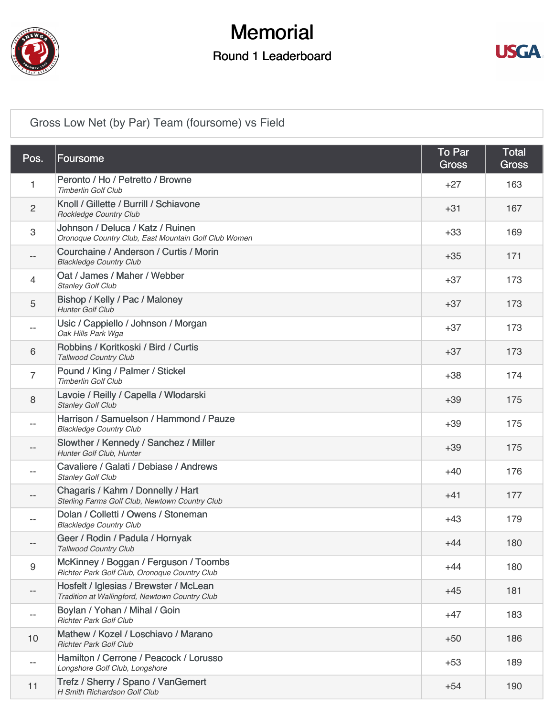

### **Memorial**

#### Round 1 Leaderboard



#### [Gross Low Net \(by Par\) Team \(foursome\) vs Field](https://cdn2.golfgenius.com/v2tournaments/4250713721334138889)

| Pos.              | Foursome                                                                                 | <b>To Par</b><br><b>Gross</b> | <b>Total</b><br><b>Gross</b> |
|-------------------|------------------------------------------------------------------------------------------|-------------------------------|------------------------------|
| 1                 | Peronto / Ho / Petretto / Browne<br><b>Timberlin Golf Club</b>                           | $+27$                         | 163                          |
| $\overline{c}$    | Knoll / Gillette / Burrill / Schiavone<br>Rockledge Country Club                         | $+31$                         | 167                          |
| 3                 | Johnson / Deluca / Katz / Ruinen<br>Oronoque Country Club, East Mountain Golf Club Women | $+33$                         | 169                          |
|                   | Courchaine / Anderson / Curtis / Morin<br><b>Blackledge Country Club</b>                 | $+35$                         | 171                          |
| 4                 | Oat / James / Maher / Webber<br><b>Stanley Golf Club</b>                                 | $+37$                         | 173                          |
| 5                 | Bishop / Kelly / Pac / Maloney<br><b>Hunter Golf Club</b>                                | $+37$                         | 173                          |
|                   | Usic / Cappiello / Johnson / Morgan<br>Oak Hills Park Wga                                | $+37$                         | 173                          |
| 6                 | Robbins / Koritkoski / Bird / Curtis<br><b>Tallwood Country Club</b>                     | $+37$                         | 173                          |
| 7                 | Pound / King / Palmer / Stickel<br><b>Timberlin Golf Club</b>                            | $+38$                         | 174                          |
| 8                 | Lavoie / Reilly / Capella / Wlodarski<br><b>Stanley Golf Club</b>                        | $+39$                         | 175                          |
|                   | Harrison / Samuelson / Hammond / Pauze<br><b>Blackledge Country Club</b>                 | $+39$                         | 175                          |
|                   | Slowther / Kennedy / Sanchez / Miller<br>Hunter Golf Club, Hunter                        | $+39$                         | 175                          |
|                   | Cavaliere / Galati / Debiase / Andrews<br><b>Stanley Golf Club</b>                       | $+40$                         | 176                          |
|                   | Chagaris / Kahm / Donnelly / Hart<br>Sterling Farms Golf Club, Newtown Country Club      | $+41$                         | 177                          |
|                   | Dolan / Colletti / Owens / Stoneman<br><b>Blackledge Country Club</b>                    | $+43$                         | 179                          |
|                   | Geer / Rodin / Padula / Hornyak<br><b>Tallwood Country Club</b>                          | $+44$                         | 180                          |
| 9                 | McKinney / Boggan / Ferguson / Toombs<br>Richter Park Golf Club, Oronoque Country Club   | $+44$                         | 180                          |
| $\qquad \qquad -$ | Hosfelt / Iglesias / Brewster / McLean<br>Tradition at Wallingford, Newtown Country Club | $+45$                         | 181                          |
|                   | Boylan / Yohan / Mihal / Goin<br><b>Richter Park Golf Club</b>                           | $+47$                         | 183                          |
| 10                | Mathew / Kozel / Loschiavo / Marano<br><b>Richter Park Golf Club</b>                     | $+50$                         | 186                          |
|                   | Hamilton / Cerrone / Peacock / Lorusso<br>Longshore Golf Club, Longshore                 | $+53$                         | 189                          |
| 11                | Trefz / Sherry / Spano / VanGemert<br>H Smith Richardson Golf Club                       | $+54$                         | 190                          |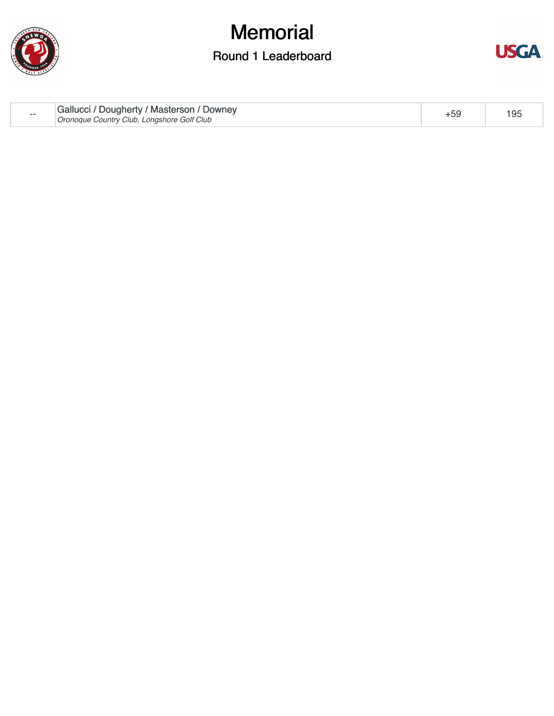

## **Memorial**

#### Round 1 Leaderboard



| Gallucci / Dougherty / Masterson / Downey<br>$- -$<br>Oronoque Country Club, Longshore Golf Club | 195 |
|--------------------------------------------------------------------------------------------------|-----|
|--------------------------------------------------------------------------------------------------|-----|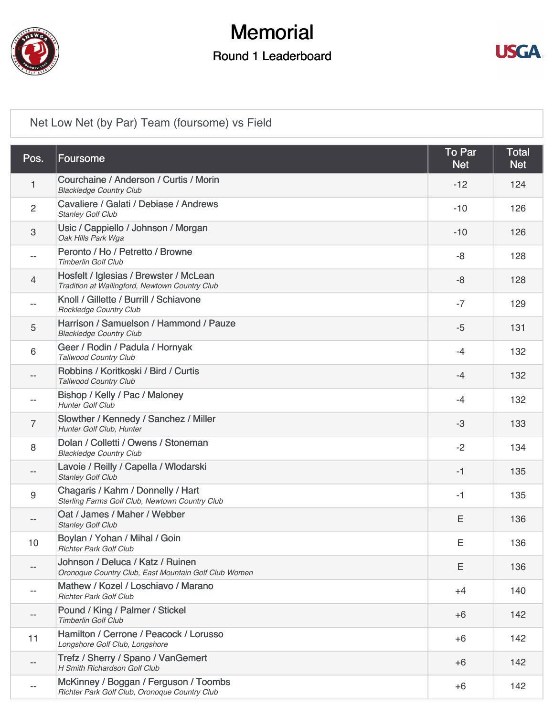

### **Memorial**

#### Round 1 Leaderboard



[Net Low Net \(by Par\) Team \(foursome\) vs Field](https://cdn2.golfgenius.com/v2tournaments/4250713713146857480)

| Pos.           | <b>Foursome</b>                                                                          | To Par<br><b>Net</b> | <b>Total</b><br><b>Net</b> |
|----------------|------------------------------------------------------------------------------------------|----------------------|----------------------------|
| 1              | Courchaine / Anderson / Curtis / Morin<br><b>Blackledge Country Club</b>                 | $-12$                | 124                        |
| $\overline{2}$ | Cavaliere / Galati / Debiase / Andrews<br><b>Stanley Golf Club</b>                       | $-10$                | 126                        |
| 3              | Usic / Cappiello / Johnson / Morgan<br>Oak Hills Park Wga                                | $-10$                | 126                        |
| $- -$          | Peronto / Ho / Petretto / Browne<br><b>Timberlin Golf Club</b>                           | -8                   | 128                        |
| 4              | Hosfelt / Iglesias / Brewster / McLean<br>Tradition at Wallingford, Newtown Country Club | -8                   | 128                        |
| $- -$          | Knoll / Gillette / Burrill / Schiavone<br>Rockledge Country Club                         | $-7$                 | 129                        |
| 5              | Harrison / Samuelson / Hammond / Pauze<br><b>Blackledge Country Club</b>                 | $-5$                 | 131                        |
| 6              | Geer / Rodin / Padula / Hornyak<br><b>Tallwood Country Club</b>                          | $-4$                 | 132                        |
|                | Robbins / Koritkoski / Bird / Curtis<br>Tallwood Country Club                            | $-4$                 | 132                        |
|                | Bishop / Kelly / Pac / Maloney<br><b>Hunter Golf Club</b>                                | $-4$                 | 132                        |
| 7              | Slowther / Kennedy / Sanchez / Miller<br>Hunter Golf Club, Hunter                        | $-3$                 | 133                        |
| 8              | Dolan / Colletti / Owens / Stoneman<br><b>Blackledge Country Club</b>                    | $-2$                 | 134                        |
|                | Lavoie / Reilly / Capella / Wlodarski<br><b>Stanley Golf Club</b>                        | $-1$                 | 135                        |
| 9              | Chagaris / Kahm / Donnelly / Hart<br>Sterling Farms Golf Club, Newtown Country Club      | $-1$                 | 135                        |
|                | Oat / James / Maher / Webber<br><b>Stanley Golf Club</b>                                 | Ε                    | 136                        |
| 10             | Boylan / Yohan / Mihal / Goin<br><b>Richter Park Golf Club</b>                           | Ε                    | 136                        |
|                | Johnson / Deluca / Katz / Ruinen<br>Oronoque Country Club, East Mountain Golf Club Women | Ε                    | 136                        |
|                | Mathew / Kozel / Loschiavo / Marano<br><b>Richter Park Golf Club</b>                     | $+4$                 | 140                        |
|                | Pound / King / Palmer / Stickel<br><b>Timberlin Golf Club</b>                            | $+6$                 | 142                        |
| 11             | Hamilton / Cerrone / Peacock / Lorusso<br>Longshore Golf Club, Longshore                 | $+6$                 | 142                        |
|                | Trefz / Sherry / Spano / VanGemert<br>H Smith Richardson Golf Club                       | $+6$                 | 142                        |
|                | McKinney / Boggan / Ferguson / Toombs<br>Richter Park Golf Club, Oronoque Country Club   | $+6$                 | 142                        |